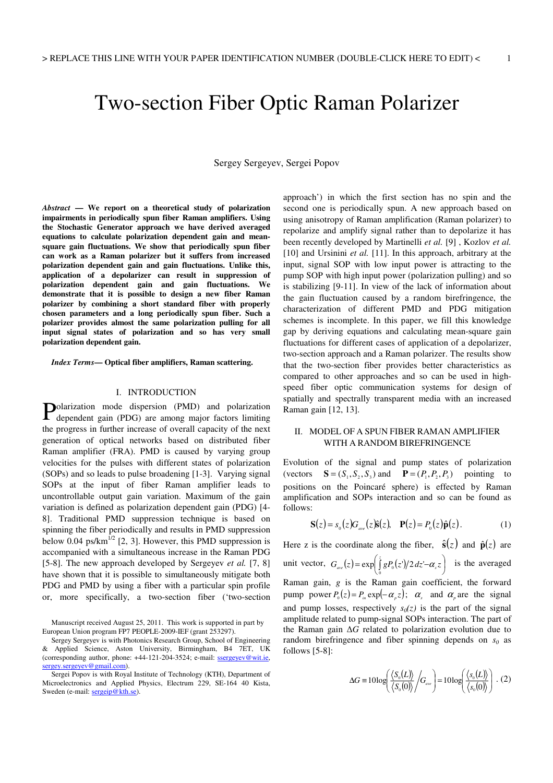# Two-section Fiber Optic Raman Polarizer

Sergey Sergeyev, Sergei Popov

*Abstract* **— We report on a theoretical study of polarization impairments in periodically spun fiber Raman amplifiers. Using the Stochastic Generator approach we have derived averaged equations to calculate polarization dependent gain and meansquare gain fluctuations. We show that periodically spun fiber can work as a Raman polarizer but it suffers from increased polarization dependent gain and gain fluctuations. Unlike this, application of a depolarizer can result in suppression of polarization dependent gain and gain fluctuations. We demonstrate that it is possible to design a new fiber Raman polarizer by combining a short standard fiber with properly chosen parameters and a long periodically spun fiber. Such a polarizer provides almost the same polarization pulling for all input signal states of polarization and so has very small polarization dependent gain.** 

*Index Terms***— Optical fiber amplifiers, Raman scattering.** 

## I. INTRODUCTION

Polarization mode dispersion (PMD) and polarization dependent gain (PDG) are among major factors limiting dependent gain (PDG) are among major factors limiting the progress in further increase of overall capacity of the next generation of optical networks based on distributed fiber Raman amplifier (FRA). PMD is caused by varying group velocities for the pulses with different states of polarization (SOPs) and so leads to pulse broadening [1-3]. Varying signal SOPs at the input of fiber Raman amplifier leads to uncontrollable output gain variation. Maximum of the gain variation is defined as polarization dependent gain (PDG) [4- 8]. Traditional PMD suppression technique is based on spinning the fiber periodically and results in PMD suppression below 0.04 ps/km<sup> $1/2$ </sup> [2, 3]. However, this PMD suppression is accompanied with a simultaneous increase in the Raman PDG [5-8]. The new approach developed by Sergeyev *et al.* [7, 8] have shown that it is possible to simultaneously mitigate both PDG and PMD by using a fiber with a particular spin profile or, more specifically, a two-section fiber ('two-section

approach') in which the first section has no spin and the second one is periodically spun. A new approach based on using anisotropy of Raman amplification (Raman polarizer) to repolarize and amplify signal rather than to depolarize it has been recently developed by Martinelli *et al.* [9] , Kozlov *et al.* [10] and Ursinini *et al.* [11]. In this approach, arbitrary at the input, signal SOP with low input power is attracting to the pump SOP with high input power (polarization pulling) and so is stabilizing [9-11]. In view of the lack of information about the gain fluctuation caused by a random birefringence, the characterization of different PMD and PDG mitigation schemes is incomplete. In this paper, we fill this knowledge gap by deriving equations and calculating mean-square gain fluctuations for different cases of application of a depolarizer, two-section approach and a Raman polarizer. The results show that the two-section fiber provides better characteristics as compared to other approaches and so can be used in highspeed fiber optic communication systems for design of spatially and spectrally transparent media with an increased Raman gain [12, 13].

## II. MODEL OF A SPUN FIBER RAMAN AMPLIFIER WITH A RANDOM BIREFRINGENCE

Evolution of the signal and pump states of polarization (vectors  $\mathbf{S} = (S_1, S_2, S_3)$  and  $\mathbf{P} = (P_1, P_2, P_3)$  pointing to positions on the Poincaré sphere) is effected by Raman amplification and SOPs interaction and so can be found as follows:

$$
\mathbf{S}(z) = s_0(z) G_{ave}(z) \hat{\mathbf{s}}(z), \quad \mathbf{P}(z) = P_0(z) \hat{\mathbf{p}}(z).
$$
 (1)

Here z is the coordinate along the fiber,  $\hat{\mathbf{s}}(z)$  and  $\hat{\mathbf{p}}(z)$  are unit vector,  $G_{ave}(z) = \exp\left(\int_{0}^{z} g P_0(z')/2 dz' - \alpha_z z\right)$  $\left(\int\limits_0^z g P_{_0}(z')/2\,dz' –\pmb{\alpha}_z z\right)$  $G_{ave}(z) = \exp\left(\int_0^z g P_0(z')/2 dz' - \alpha_z z\right)$  is the averaged Raman gain, *g* is the Raman gain coefficient, the forward pump power  $P_0(z) = P_{in} \exp(-\alpha_p z)$ ;  $\alpha_s$  and  $\alpha_p$  are the signal and pump losses, respectively *s0(z)* is the part of the signal amplitude related to pump-signal SOPs interaction. The part of the Raman gain ∆*G* related to polarization evolution due to random birefringence and fiber spinning depends on  $s_0$  as follows [5-8]:

$$
\Delta G \equiv 10 \log \left( \frac{\langle S_{0}(L) \rangle}{\langle S_{0}(0) \rangle} / G_{ave} \right) = 10 \log \left( \frac{\langle s_{0}(L) \rangle}{\langle s_{0}(0) \rangle} \right) . (2)
$$

Manuscript received August 25, 2011. This work is supported in part by European Union program FP7 PEOPLE-2009-IEF (grant 253297).

Sergey Sergeyev is with Photonics Research Group, School of Engineering & Applied Science, Aston University, Birmingham, B4 7ET, UK (corresponding author, phone: +44-121-204-3524; e-mail: ssergeyev@wit.ie, sergey.sergeyev@gmail.com).

Sergei Popov is with Royal Institute of Technology (KTH), Department of Microelectronics and Applied Physics, Electrum 229, SE-164 40 Kista, Sweden (e-mail: sergeip@kth.se).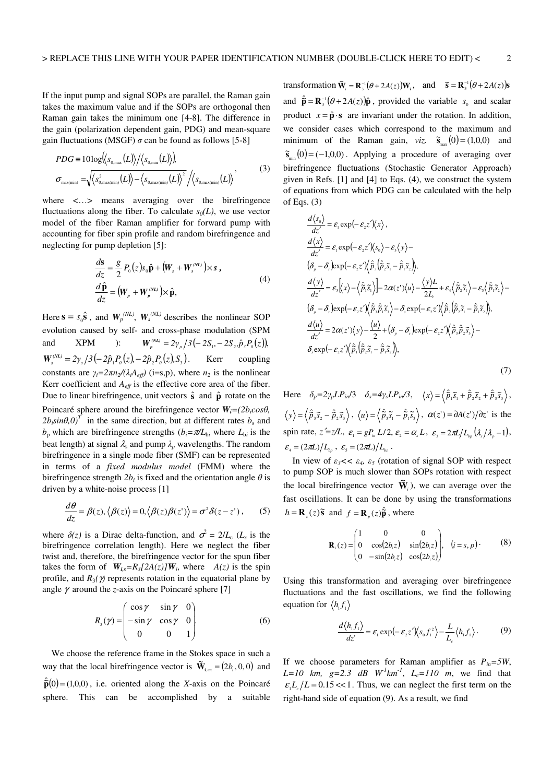If the input pump and signal SOPs are parallel, the Raman gain takes the maximum value and if the SOPs are orthogonal then Raman gain takes the minimum one [4-8]. The difference in the gain (polarization dependent gain, PDG) and mean-square gain fluctuations (MSGF)  $\sigma$  can be found as follows [5-8]

 $\mathcal{L}$ 

$$
PDG \equiv 10\log\langle\langle s_{0,\max}(L)\rangle/\langle s_{0,\min}(L)\rangle\rangle, \n\sigma_{\max(\min)} = \sqrt{\langle s_{0,\max(\min)}^2(L)\rangle - \langle s_{0,\max(\min)}(L)\rangle^2}/\langle s_{0,\max(\min)}(L)\rangle,
$$
\n(3)

where <...> means averaging over the birefringence fluctuations along the fiber. To calculate  $s<sub>0</sub>(L)$ , we use vector model of the fiber Raman amplifier for forward pump with accounting for fiber spin profile and random birefringence and neglecting for pump depletion [5]:

$$
\frac{d\mathbf{s}}{dz} = \frac{g}{2} P_0(z) s_0 \hat{\mathbf{p}} + (\mathbf{W}_s + \mathbf{W}_s^{\text{(NL)}}) \times \mathbf{s} ,
$$
  
\n
$$
\frac{d\hat{\mathbf{p}}}{dz} = (\mathbf{W}_p + \mathbf{W}_p^{\text{(NL)}}) \times \hat{\mathbf{p}},
$$
\n(4)

Here  $\mathbf{s} = s_0 \hat{\mathbf{s}}$ , and  $W_p^{(NL)}$ ,  $W_s^{(NL)}$  describes the nonlinear SOP evolution caused by self- and cross-phase modulation (SPM and XPM ):  $W_p^{(NL)} = 2\gamma_p / 3(-2S_1 - 2S_2, \hat{p}_3 P_0(z)),$  $W_s^{(NL)} = 2\gamma_s / 3(-2\hat{p}_1 P_0(z), -2\hat{p}_2 P_0(z), S_3)$ . Kerr coupling constants are  $\gamma_i = 2\pi n_2 / (\lambda_i A_{\text{eff}})$  (i=s,p), where  $n_2$  is the nonlinear Kerr coefficient and  $A_{\text{eff}}$  is the effective core area of the fiber. Due to linear birefringence, unit vectors **s**ˆ and **p**ˆ rotate on the Poincaré sphere around the birefringence vector  $W_i = (2b_i cos\theta,$  $2b_i \sin\theta_i$ ,  $0$ <sup>T</sup> in the same direction, but at different rates  $b_s$  and  $b_p$  which are birefringence strengths  $(b_i = \pi/L_{bi}$  where  $L_{bi}$  is the beat length) at signal  $\lambda_s$  and pump  $\lambda_p$  wavelengths. The random birefringence in a single mode fiber (SMF) can be represented in terms of a *fixed modulus model* (FMM) where the birefringence strength  $2b_i$  is fixed and the orientation angle  $\theta$  is driven by a white-noise process [1]

$$
\frac{d\theta}{dz} = \beta(z), \langle \beta(z) \rangle = 0, \langle \beta(z) \beta(z') \rangle = \sigma^2 \delta(z - z'), \qquad (5)
$$

where  $\delta(z)$  is a Dirac delta-function, and  $\sigma^2 = 2/L_c$  (*L<sub>c</sub>* is the birefringence correlation length). Here we neglect the fiber twist and, therefore, the birefringence vector for the spun fiber takes the form of  $W_{i,s} = R_3[2A(z)]W_i$ , where  $A(z)$  is the spin profile, and  $R_3(\gamma)$  represents rotation in the equatorial plane by angle  $\gamma$  around the *z*-axis on the Poincaré sphere [7]

$$
R_{s}(\gamma) = \begin{pmatrix} \cos \gamma & \sin \gamma & 0 \\ -\sin \gamma & \cos \gamma & 0 \\ 0 & 0 & 1 \end{pmatrix}.
$$
 (6)

 We choose the reference frame in the Stokes space in such a way that the local birefringence vector is  $\tilde{\mathbf{W}}_{i,m} = (2b_i, 0, 0)$  and  $\hat{\mathbf{p}}(0) = (1,0,0)$ , i.e. oriented along the *X*-axis on the Poincaré sphere. This can be accomplished by a suitable

transformation  $\widetilde{\mathbf{W}}_i = \mathbf{R}_3^{-1}(\theta + 2A(z))\mathbf{W}_i$ , and  $\widetilde{\mathbf{s}} = \mathbf{R}_3^{-1}(\theta + 2A(z))\mathbf{s}$ and  $\hat{\mathbf{p}} = \mathbf{R}_{3}^{-1}(\theta + 2A(z))\hat{\mathbf{p}}$ , provided the variable  $s_0$  and scalar product  $x = \hat{\mathbf{p}} \cdot \mathbf{s}$  are invariant under the rotation. In addition, we consider cases which correspond to the maximum and minimum of the Raman gain, *viz.*  $\tilde{s}_{max}(0) = (1,0,0)$  and  $\tilde{\mathbf{s}}_{\min}(0) = (-1,0,0)$ . Applying a procedure of averaging over birefringence fluctuations (Stochastic Generator Approach) given in Refs. [1] and [4] to Eqs. (4), we construct the system of equations from which PDG can be calculated with the help of Eqs.  $(3)$ 

$$
\frac{d\langle s_0 \rangle}{dz'} = \varepsilon_1 \exp(-\varepsilon_2 z')\langle x \rangle, \n\frac{d\langle x \rangle}{dz'} = \varepsilon_1 \exp(-\varepsilon_2 z')\langle s_0 \rangle - \varepsilon_3 \langle y \rangle - \n(\delta_p - \delta_s) \exp(-\varepsilon_2 z')\langle \hat{p}_s(\hat{p}_s \tilde{s}_1 - \hat{p}_s \tilde{s}_2) \rangle, \n\frac{d\langle y \rangle}{dz'} = \varepsilon_3 \langle x \rangle - \langle \hat{p}_s \tilde{s}_1 \rangle - 2\alpha(z')\langle u \rangle - \frac{\langle y \rangle L}{2L_c} + \varepsilon_4 \langle \hat{p}_s \tilde{s}_1 \rangle - \varepsilon_5 \langle \hat{p}_s \tilde{s}_2 \rangle - \n(\delta_p - \delta_s) \exp(-\varepsilon_2 z')\langle \hat{p}_s \hat{p}_s \tilde{s}_3 \rangle - \delta_s \exp(-\varepsilon_2 z')\langle \hat{p}_s(\hat{p}_s \tilde{s}_1 - \hat{p}_s \tilde{s}_2) \rangle, \n\frac{d\langle u \rangle}{dz'} = 2\alpha(z')\langle y \rangle - \frac{\langle u \rangle}{2} + (\delta_p - \delta_s) \exp(-\varepsilon_2 z')\langle \hat{p}_s \hat{p}_s \tilde{s}_s \rangle - \n\delta_s \exp(-\varepsilon_2 z')\langle \hat{p}_1(\hat{p}_s \tilde{s}_1 - \hat{p}_s \tilde{s}_2) \rangle,
$$
\n(7)

Here  $\delta_p = 2\gamma_p L P_{in}/3$   $\delta_s = 4\gamma_s L P_{in}/3$ ,  $\langle x \rangle = \langle \hat{p}_1 \tilde{s}_1 + \hat{p}_2 \tilde{s}_2 + \hat{p}_3 \tilde{s}_3 \rangle$ ,  $\langle y \rangle = \langle \hat{p}_3 \tilde{s}_2 - \hat{p}_2 \tilde{s}_3 \rangle$ ,  $\langle u \rangle = \langle \hat{p}_3 \tilde{s}_1 - \hat{p}_1 \tilde{s}_3 \rangle$ ,  $\alpha(z) = \partial A(z') / \partial z'$  is the spin rate,  $z' = z/L$ ,  $\varepsilon_1 = gP_{in} L/2$ ,  $\varepsilon_2 = \alpha_{s} L$ ,  $\varepsilon_3 = 2\pi L/L_{in} (\lambda_{s}/\lambda_{s}-1)$ ,  $\varepsilon_{\rm a} = (2\pi L)/L_{\rm b}$ ,  $\varepsilon_{\rm s} = (2\pi L)/L_{\rm b}$ .

In view of  $\varepsilon_3$ <<  $\varepsilon_4$ ,  $\varepsilon_5$  (rotation of signal SOP with respect to pump SOP is much slower than SOPs rotation with respect the local birefringence vector  $\tilde{\mathbf{W}}_i$ ), we can average over the fast oscillations. It can be done by using the transformations  $h = \mathbf{R}_s(z)$   $\tilde{\mathbf{s}}$  and  $f = \mathbf{R}_p(z) \hat{\tilde{\mathbf{p}}}$ , where

$$
\mathbf{R}_{i}(z) = \begin{pmatrix} 1 & 0 & 0 \\ 0 & \cos(2b_{i}z) & \sin(2b_{i}z) \\ 0 & -\sin(2b_{i}z) & \cos(2b_{i}z) \end{pmatrix}, \quad (i = s, p). \tag{8}
$$

Using this transformation and averaging over birefringence fluctuations and the fast oscillations, we find the following equation for  $\langle h_1 f_1 \rangle$ 

$$
\frac{d\langle h_1 f_1 \rangle}{dz} = \varepsilon_1 \exp(-\varepsilon_2 z') \langle s_0 f_1^2 \rangle - \frac{L}{L_c} \langle h_1 f_1 \rangle.
$$
 (9)

If we choose parameters for Raman amplifier as  $P_{in} = 5W$ ,  $L=10$  km,  $g=2.3$  dB  $W^{1}km^{1}$ ,  $L_{c}=110$  m, we find that  $\epsilon L/L = 0.15 \ll 1$ . Thus, we can neglect the first term on the right-hand side of equation (9). As a result, we find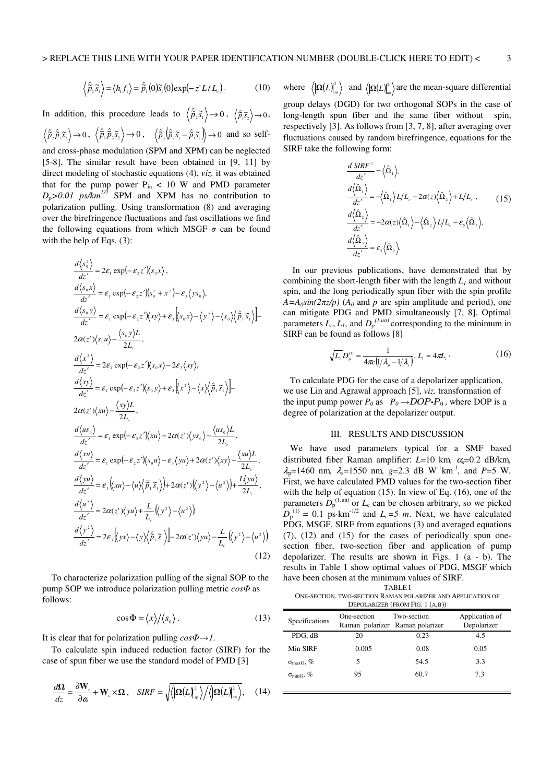$$
\left\langle \hat{\tilde{p}}_1 \tilde{s}_1 \right\rangle = \left\langle h_1 f_1 \right\rangle = \hat{\tilde{p}}_1(0) \tilde{s}_1(0) \exp(-z^* L/L_c).
$$
 (10)

In addition, this procedure leads to  $\left\langle \hat{\vec{p}}_2 \vec{s}_1 \right\rangle \rightarrow 0$ ,  $\left\langle \hat{\vec{p}}_1 \vec{s}_2 \right\rangle \rightarrow 0$ ,  $\hat{\tilde{p}}_2 \hat{\tilde{p}}_3 \tilde{s}_2 \rightarrow 0, \ \ \langle \hat{\tilde{p}}_1 \hat{\tilde{p}}_3 \tilde{s}_2 \rangle \rightarrow 0, \ \ \ \langle \hat{\tilde{p}}_3 \langle \hat{\tilde{p}}_2 \tilde{s}_1 - \hat{\tilde{p}}_1 \tilde{s}_2 \rangle \rightarrow 0 \ \ \text{and so self-}$ and cross-phase modulation (SPM and XPM) can be neglected [5-8]. The similar result have been obtained in [9, 11] by direct modeling of stochastic equations (4), *viz.* it was obtained that for the pump power  $P_{in}$  < 10 W and PMD parameter

 $D_p > 0.01$  ps/km<sup> $1/2$ </sup> SPM and XPM has no contribution to polarization pulling. Using transformation (8) and averaging over the birefringence fluctuations and fast oscillations we find the following equations from which MSGF  $\sigma$  can be found with the help of Eqs. (3):

$$
\frac{d\langle s_0^2 \rangle}{dz'} = 2\varepsilon_1 \exp(-\varepsilon_2 z')\langle s_0 x \rangle,
$$
\n
$$
\frac{d\langle s_0 x \rangle}{dz'} = \varepsilon_1 \exp(-\varepsilon_2 z')\langle s_0^2 + x^2 \rangle - \varepsilon_3 \langle y s_0 \rangle,
$$
\n
$$
\frac{d\langle s_0 y \rangle}{dz'} = \varepsilon_1 \exp(-\varepsilon_2 z')\langle xy \rangle + \varepsilon_3 \langle s_0 x \rangle - \langle y^2 \rangle - \langle s_0 \rangle \langle \hat{p}_1 \hat{s}_1 \rangle - 2\alpha(z')\langle s_0 u \rangle - \frac{\langle s_0 y \rangle L}{2L_c},
$$
\n
$$
\frac{d\langle x^2 \rangle}{dz'} = 2\varepsilon_1 \exp(-\varepsilon_2 z')\langle s_0 x \rangle - 2\varepsilon_3 \langle xy \rangle,
$$
\n
$$
\frac{d\langle xy \rangle}{dz'} = \varepsilon_1 \exp(-\varepsilon_2 z')\langle s_0 y \rangle + \varepsilon_3 \langle x^2 \rangle - \langle x \rangle \langle \hat{p}_1 \hat{s}_1 \rangle - 2\alpha(z')\langle xu \rangle - \frac{\langle xy \rangle L}{2L_c},
$$
\n
$$
\frac{d\langle us_0 \rangle}{dz'} = \varepsilon_1 \exp(-\varepsilon_2 z')\langle xu \rangle + 2\alpha(z')\langle ys_0 \rangle - \frac{\langle us_0 \rangle L}{2L_c},
$$
\n
$$
\frac{d\langle xu \rangle}{dz'} = \varepsilon_1 \exp(-\varepsilon_2 z')\langle s_0 u \rangle - \varepsilon_3 \langle y u \rangle + 2\alpha(z')\langle xy \rangle - \frac{\langle xu \rangle L}{2L_c},
$$
\n
$$
\frac{d\langle y u \rangle}{dz'} = \varepsilon_3 \langle xu \rangle - \langle u \rangle \langle \hat{p}_1 \hat{s}_1 \rangle + 2\alpha(z')\langle y^2 \rangle - \langle u^2 \rangle + \frac{L\langle y u \rangle}{2L_c},
$$
\n
$$
\frac{d\langle u^2 \rangle}{dz'} = 2\alpha(z')\langle y u \rangle + \frac{L}{L_c}\langle y^2 \rangle - \langle u^2 \rangle,
$$
\n
$$
\frac{d\langle y^2 \rangle}{dz'} = 2\varepsilon_3 \langle y x \rangle
$$

 To characterize polarization pulling of the signal SOP to the pump SOP we introduce polarization pulling metric *cos*Φ as follows:

$$
\cos \Phi = \langle x \rangle / \langle s_0 \rangle \,. \tag{13}
$$

It is clear that for polarization pulling  $cos\Phi \rightarrow l$ .

 To calculate spin induced reduction factor (SIRF) for the case of spun fiber we use the standard model of PMD [3]

$$
\frac{d\Omega}{dz} = \frac{\partial \mathbf{W}_s}{\partial \omega} + \mathbf{W}_s \times \Omega \ , \quad SIRF = \sqrt{\langle |\Omega(L)|^2 \rangle / \langle |\Omega(L)|^2 \rangle \rangle} , \quad (14)
$$

where  $\langle \vert \Omega(L) \vert_{\mathfrak{m}}^2 \rangle$  and  $\langle \vert \Omega(L) \vert_{\mathfrak{m}}^2 \rangle$  are the mean-square differential group delays (DGD) for two orthogonal SOPs in the case of long-length spun fiber and the same fiber without spin, respectively [3]. As follows from [3, 7, 8], after averaging over fluctuations caused by random birefringence, equations for the SIRF take the following form:

$$
\frac{d \, SIRF^2}{dz'} = \langle \hat{\Omega}_1 \rangle,
$$
\n
$$
\frac{d \langle \hat{\Omega}_1 \rangle}{dz'} = -\langle \hat{\Omega}_1 \rangle L/L_c + 2\alpha(z) \langle \hat{\Omega}_2 \rangle + L/L_c , \qquad (15)
$$
\n
$$
\frac{d \langle \hat{\Omega}_2 \rangle}{dz'} = -2\alpha(z) \langle \hat{\Omega}_1 \rangle - \langle \hat{\Omega}_2 \rangle L/L_c - \varepsilon_s \langle \hat{\Omega}_3 \rangle,
$$
\n
$$
\frac{d \langle \hat{\Omega}_3 \rangle}{dz'} = \varepsilon_s \langle \hat{\Omega}_2 \rangle.
$$

 In our previous publications, have demonstrated that by combining the short-length fiber with the length *L1* and without spin, and the long periodically spun fiber with the spin profile  $A = A_0 \sin(2\pi z/p)$  ( $A_0$  and p are spin amplitude and period), one can mitigate PDG and PMD simultaneously [7, 8]. Optimal parameters  $L_c$ ,  $L_l$ , and  $D_p^{(l, un)}$  corresponding to the minimum in SIRF can be found as follows [8]

$$
\sqrt{L_c} D_{\rho}^{(1)} = \frac{1}{4\pi c \left( 1/\lambda_{\rho} - 1/\lambda_{s} \right)}, L_1 \approx 4\pi L_c \,. \tag{16}
$$

 To calculate PDG for the case of a depolarizer application, we use Lin and Agrawal approach [5], *viz.* transformation of the input pump power  $P_0$  as  $P_0 \rightarrow DOP \cdot P_0$ , where DOP is a degree of polarization at the depolarizer output.

### III. RESULTS AND DISCUSSION

 We have used parameters typical for a SMF based distributed fiber Raman amplifier: L=10 km, α<sub>s</sub>=0.2 dB/km,  $\lambda_p$ =1460 nm,  $\lambda_s$ =1550 nm, g=2.3 dB W<sup>-1</sup>km<sup>-1</sup>, and P=5 W. First, we have calculated PMD values for the two-section fiber with the help of equation (15). In view of Eq. (16), one of the parameters  $\bar{D}_{p}^{(1, \text{un})}$  or  $L_{c}$  can be chosen arbitrary, so we picked  $D_p^{(1)} = 0.1$  ps⋅km<sup>-1/2</sup> and  $L_c = 5$  *m*. Next, we have calculated PDG, MSGF, SIRF from equations (3) and averaged equations (7), (12) and (15) for the cases of periodically spun onesection fiber, two-section fiber and application of pump depolarizer. The results are shown in Figs. 1 (a - b). The results in Table 1 show optimal values of PDG, MSGF which have been chosen at the minimum values of SIRF.

TABLE I

ONE-SECTION, TWO-SECTION RAMAN POLARIZER AND APPLICATION OF DEPOLARIZER (FROM FIG. 1 (A,B))

| Specifications             | One-section<br>Raman polarizer Raman polarizer | Two-section | Application of<br>Depolarizer |
|----------------------------|------------------------------------------------|-------------|-------------------------------|
| PDG, dB                    | 20                                             | 0.23        | 4.5                           |
| Min SIRF                   | 0.005                                          | 0.08        | 0.05                          |
| $\sigma_{\text{maxG}}$ , % | 5                                              | 54.5        | 3.3                           |
| $\sigma_{\text{minG}}$ , % | 95                                             | 60.7        | 73                            |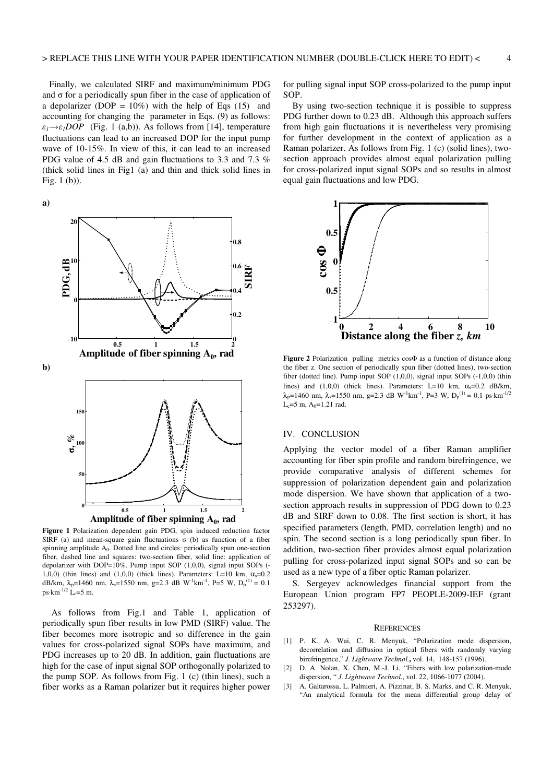Finally, we calculated SIRF and maximum/minimum PDG and  $\sigma$  for a periodically spun fiber in the case of application of a depolarizer (DOP =  $10\%$ ) with the help of Eqs (15) and accounting for changing the parameter in Eqs. (9) as follows:  $\varepsilon_1 \rightarrow \varepsilon_1 DOP$  (Fig. 1 (a,b)). As follows from [14], temperature fluctuations can lead to an increased DOP for the input pump wave of 10-15%. In view of this, it can lead to an increased PDG value of 4.5 dB and gain fluctuations to 3.3 and 7.3 % (thick solid lines in Fig1 (a) and thin and thick solid lines in Fig. 1 (b)).

**a)**



**Figure 1** Polarization dependent gain PDG, spin induced reduction factor SIRF (a) and mean-square gain fluctuations  $\sigma$  (b) as function of a fiber spinning amplitude  $A_0$ . Dotted line and circles: periodically spun one-section fiber, dashed line and squares: two-section fiber, solid line: application of depolarizer with DOP=10%. Pump input SOP (1,0,0), signal input SOPs (- 1,0,0) (thin lines) and (1,0,0) (thick lines). Parameters: L=10 km,  $\alpha_s$ =0.2 dB/km,  $\lambda_p=1460$  nm,  $\lambda_s=1550$  nm, g=2.3 dB W<sup>-1</sup>km<sup>-1</sup>, P=5 W,  $D_p^{(1)}=0.1$  $ps \cdot km^{-1/2}$  L<sub>c</sub>=5 m.

 As follows from Fig.1 and Table 1, application of periodically spun fiber results in low PMD (SIRF) value. The fiber becomes more isotropic and so difference in the gain values for cross-polarized signal SOPs have maximum, and PDG increases up to 20 dB. In addition, gain fluctuations are high for the case of input signal SOP orthogonally polarized to the pump SOP. As follows from Fig. 1 (c) (thin lines), such a fiber works as a Raman polarizer but it requires higher power for pulling signal input SOP cross-polarized to the pump input SOP.

 By using two-section technique it is possible to suppress PDG further down to 0.23 dB. Although this approach suffers from high gain fluctuations it is nevertheless very promising for further development in the context of application as a Raman polarizer. As follows from Fig. 1 (c) (solid lines), twosection approach provides almost equal polarization pulling for cross-polarized input signal SOPs and so results in almost equal gain fluctuations and low PDG.



**Figure 2** Polarization pulling metrics cosΦ as a function of distance along the fiber z. One section of periodically spun fiber (dotted lines), two-section fiber (dotted line). Pump input SOP (1,0,0), signal input SOPs (-1,0,0) (thin lines) and (1,0,0) (thick lines). Parameters: L=10 km,  $\alpha_s$ =0.2 dB/km,  $\lambda_p$ =1460 nm,  $\lambda_s$ =1550 nm, g=2.3 dB W<sup>-1</sup>km<sup>-1</sup>, P=3 W, D<sub>p</sub><sup>(1)</sup> = 0.1 ps·km<sup>-1/2</sup>  $L_c = 5$  m,  $A_0 = 1.21$  rad.

## IV. CONCLUSION

Applying the vector model of a fiber Raman amplifier accounting for fiber spin profile and random birefringence, we provide comparative analysis of different schemes for suppression of polarization dependent gain and polarization mode dispersion. We have shown that application of a twosection approach results in suppression of PDG down to 0.23 dB and SIRF down to 0.08. The first section is short, it has specified parameters (length, PMD, correlation length) and no spin. The second section is a long periodically spun fiber. In addition, two-section fiber provides almost equal polarization pulling for cross-polarized input signal SOPs and so can be used as a new type of a fiber optic Raman polarizer.

 S. Sergeyev acknowledges financial support from the European Union program FP7 PEOPLE-2009-IEF (grant 253297).

#### **REFERENCES**

- [1] P. K. A. Wai, C. R. Menyuk, "Polarization mode dispersion, decorrelation and diffusion in optical fibers with randomly varying birefringence," *J. Lightwave Technol.***,** vol. 14, 148-157 (1996).
- [2] D. A. Nolan, X. Chen, M.-J. Li, "Fibers with low polarization-mode dispersion, " *J. Lightwave Technol*., vol. 22, 1066-1077 (2004).
- [3] A. Galtarossa, L. Palmieri, A. Pizzinat, B. S. Marks, and C. R. Menyuk, "An analytical formula for the mean differential group delay of